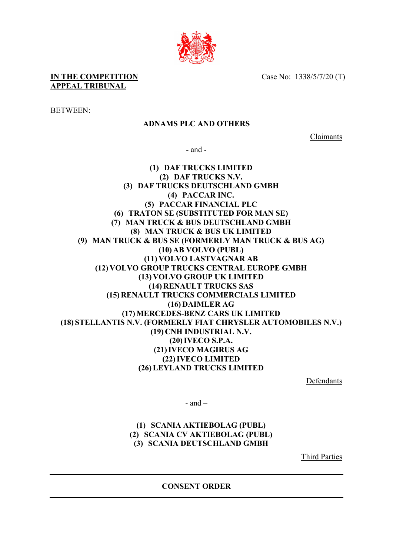Case No: 1338/5/7/20 (T)

**IN THE COMPETITION APPEAL TRIBUNAL**

BETWEEN:

## **ADNAMS PLC AND OTHERS**

Claimants

- and -

**(1) DAF TRUCKS LIMITED (2) DAF TRUCKS N.V. (3) DAF TRUCKS DEUTSCHLAND GMBH (4) PACCAR INC. (5) PACCAR FINANCIAL PLC (6) TRATON SE (SUBSTITUTED FOR MAN SE) (7) MAN TRUCK & BUS DEUTSCHLAND GMBH (8) MAN TRUCK & BUS UK LIMITED (9) MAN TRUCK & BUS SE (FORMERLY MAN TRUCK & BUS AG) (10) AB VOLVO (PUBL) (11) VOLVO LASTVAGNAR AB (12) VOLVO GROUP TRUCKS CENTRAL EUROPE GMBH (13) VOLVO GROUP UK LIMITED (14) RENAULT TRUCKS SAS (15) RENAULT TRUCKS COMMERCIALS LIMITED (16) DAIMLER AG (17)MERCEDES-BENZ CARS UK LIMITED (18) STELLANTIS N.V. (FORMERLY FIAT CHRYSLER AUTOMOBILES N.V.) (19) CNH INDUSTRIAL N.V. (20)IVECO S.P.A. (21)IVECO MAGIRUS AG (22)IVECO LIMITED (26)LEYLAND TRUCKS LIMITED**

Defendants

 $-$  and  $-$ 

**(1) SCANIA AKTIEBOLAG (PUBL) (2) SCANIA CV AKTIEBOLAG (PUBL) (3) SCANIA DEUTSCHLAND GMBH**

Third Parties

**CONSENT ORDER**